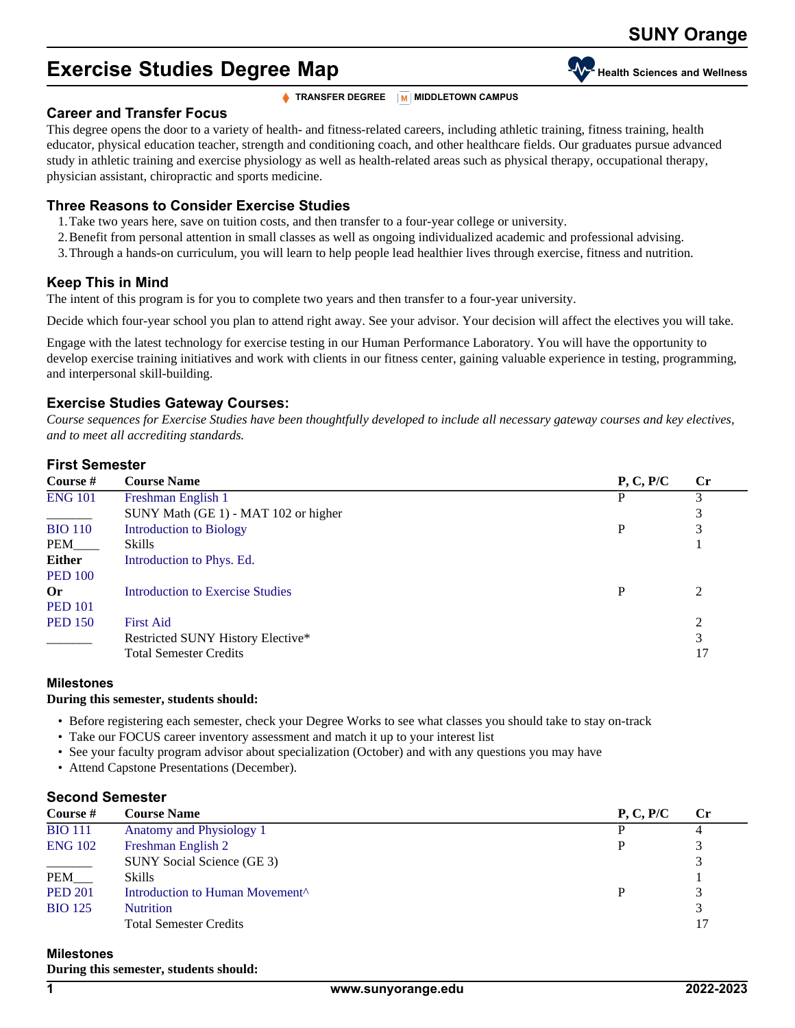# **Exercise Studies Degree Map Health We Health Sciences and Wellness**

**TRANSFER DEGREE M** MIDDLETOWN CAMPUS

### **Career and Transfer Focus**

This degree opens the door to a variety of health- and fitness-related careers, including athletic training, fitness training, health educator, physical education teacher, strength and conditioning coach, and other healthcare fields. Our graduates pursue advanced study in athletic training and exercise physiology as well as health-related areas such as physical therapy, occupational therapy, physician assistant, chiropractic and sports medicine.

## **Three Reasons to Consider Exercise Studies**

- 1.Take two years here, save on tuition costs, and then transfer to a four-year college or university.
- 2.Benefit from personal attention in small classes as well as ongoing individualized academic and professional advising.
- 3.Through a hands-on curriculum, you will learn to help people lead healthier lives through exercise, fitness and nutrition.

## **Keep This in Mind**

The intent of this program is for you to complete two years and then transfer to a four-year university.

Decide which four-year school you plan to attend right away. See your advisor. Your decision will affect the electives you will take.

Engage with the latest technology for exercise testing in our Human Performance Laboratory. You will have the opportunity to develop exercise training initiatives and work with clients in our fitness center, gaining valuable experience in testing, programming, and interpersonal skill-building.

## **Exercise Studies Gateway Courses:**

*Course sequences for Exercise Studies have been thoughtfully developed to include all necessary gateway courses and key electives, and to meet all accrediting standards.*

## **First Semester**

| Course $#$     | <b>Course Name</b>                      | P, C, P/C | $\mathbf{C}$ r |
|----------------|-----------------------------------------|-----------|----------------|
| <b>ENG 101</b> | Freshman English 1                      |           |                |
|                | SUNY Math (GE 1) - MAT 102 or higher    |           | 3              |
| <b>BIO 110</b> | Introduction to Biology                 | P         | 3              |
| PEM            | <b>Skills</b>                           |           |                |
| <b>Either</b>  | Introduction to Phys. Ed.               |           |                |
| <b>PED 100</b> |                                         |           |                |
| <b>Or</b>      | <b>Introduction to Exercise Studies</b> | P         | 2              |
| <b>PED 101</b> |                                         |           |                |
| <b>PED 150</b> | <b>First Aid</b>                        |           | 2              |
|                | Restricted SUNY History Elective*       |           | 3              |
|                | <b>Total Semester Credits</b>           |           | 17             |

### **Milestones**

### **During this semester, students should:**

- Before registering each semester, check your Degree Works to see what classes you should take to stay on-track
- Take our FOCUS career inventory assessment and match it up to your interest list
- See your faculty program advisor about specialization (October) and with any questions you may have
- Attend Capstone Presentations (December).

## **Second Semester**

| Course #       | <b>Course Name</b>                          | P, C, P/C | $\mathbf{C}$ r |
|----------------|---------------------------------------------|-----------|----------------|
| <b>BIO 111</b> | Anatomy and Physiology 1                    |           |                |
| <b>ENG 102</b> | Freshman English 2                          |           |                |
|                | SUNY Social Science (GE 3)                  |           |                |
| PEM            | Skills                                      |           |                |
| <b>PED 201</b> | Introduction to Human Movement <sup>^</sup> |           |                |
| <b>BIO</b> 125 | <b>Nutrition</b>                            |           |                |
|                | <b>Total Semester Credits</b>               |           | 17             |

### **Milestones**

**During this semester, students should:**